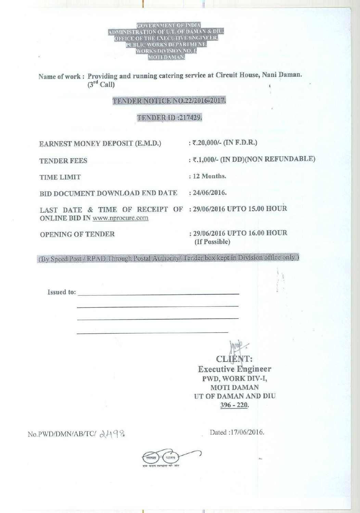GOVERNMENT OF INDIA ADMINISTRATION OF U.T. OF DAM (S DIVISION NO. I.

I

Name of work : Providing and running catering service at Circuit House, Nani Daman.  $(3<sup>rd</sup>$  Call)

## TENDER NOTICE NO.22/2016-2017.

## TENDER **ID :217429.**

**EARNEST MONEY DEPOSIT** (**E.M.D.) : 2**.**20,000**/- (**IN F.D.R.)**

**TENDER FEES : 2.1,000**/- (**IN DD**)(**NON REFUNDABLE)**

**BID DOCUMENT DOWNLOAD END DATE** : **24/06/2016.**

LAST **DATE & TIME OF RECEIPT OF : 29**/**06/2016 UPTO 15.00 HOUR** ONLINE **BID IN** www.nprocure.com

**OPENING OF TENDER :29/06**/**2016 UPTO 16.00 HOUR (If Possible)**

(By Speed Post / RPAD Through Postal Authority/ Tender box kept in Division office only.)

**Issued to:**

**CLIEN Executive Lngineer** PWD, WORK DIV-I, MOTI DAMAN UT OF DAMAN AND DIU 396 - 220.

No. P WD/DMN/AB/TC/  $\lambda$  49% Dated :17/06/2016.



**TIME LIMIT** : **12 Months.**